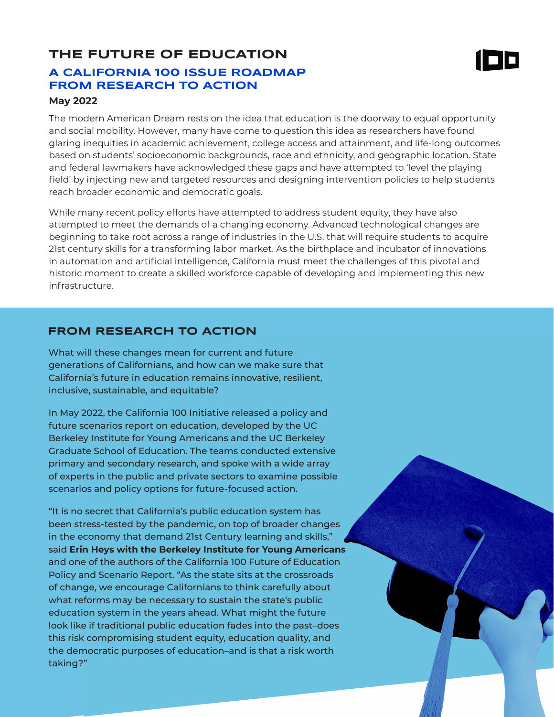## **THE FUTURE OF EDUCATION A CALIFORNIA 100 ISSUE ROADMAP FROM RESEARCH TO ACTION**



### **May 2022**

The modern American Dream rests on the idea that education is the doorway to equal opportunity and social mobility. However, many have come to question this idea as researchers have found glaring inequities in academic achievement, college access and attainment, and life-long outcomes based on students' socioeconomic backgrounds, race and ethnicity, and geographic location. State and federal lawmakers have acknowledged these gaps and have attempted to 'level the playing field' by injecting new and targeted resources and designing intervention policies to help students reach broader economic and democratic goals.

While many recent policy efforts have attempted to address student equity, they have also attempted to meet the demands of a changing economy. Advanced technological changes are beginning to take root across a range of industries in the U.S. that will require students to acquire 21st century skills for a transforming labor market. As the birthplace and incubator of innovations in automation and artificial intelligence, California must meet the challenges of this pivotal and historic moment to create a skilled workforce capable of developing and implementing this new infrastructure.

### **FROM RESEARCH TO ACTION**

What will these changes mean for current and future generations of Californians, and how can we make sure that California's future in education remains innovative, resilient, inclusive, sustainable, and equitable?

In May 2022, the California 100 Initiative released a policy and future scenarios report on education, developed by the UC Berkeley Institute for Young Americans and the UC Berkeley Graduate School of Education. The teams conducted extensive primary and secondary research, and spoke with a wide array of experts in the public and private sectors to examine possible scenarios and policy options for future-focused action.

"It is no secret that California's public education system has been stress-tested by the pandemic, on top of broader changes in the economy that demand 21st Century learning and skills," said **Erin Heys with the Berkeley Institute for Young Americans** and one of the authors of the California 100 Future of Education Policy and Scenario Report. "As the state sits at the crossroads of change, we encourage Californians to think carefully about what reforms may be necessary to sustain the state's public education system in the years ahead. What might the future look like if traditional public education fades into the past–does this risk compromising student equity, education quality, and the democratic purposes of education–and is that a risk worth taking?"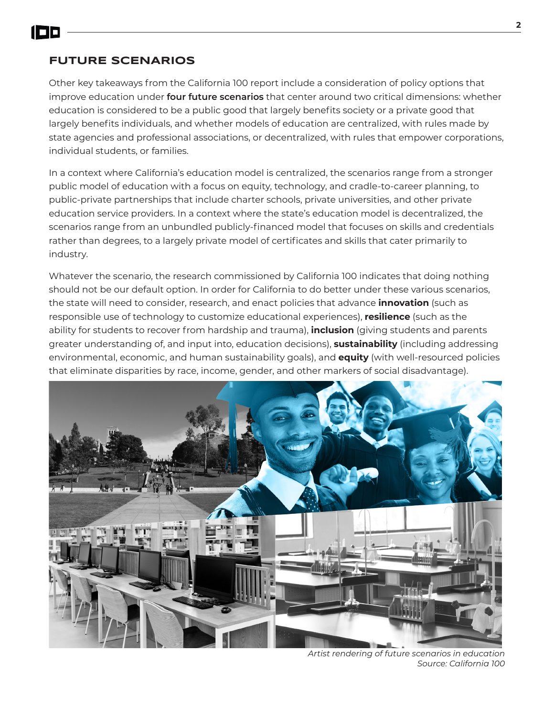

### **FUTURE SCENARIOS**

Other key takeaways from the California 100 report include a consideration of policy options that improve education under **four future scenarios** that center around two critical dimensions: whether education is considered to be a public good that largely benefits society or a private good that largely benefits individuals, and whether models of education are centralized, with rules made by state agencies and professional associations, or decentralized, with rules that empower corporations, individual students, or families.

In a context where California's education model is centralized, the scenarios range from a stronger public model of education with a focus on equity, technology, and cradle-to-career planning, to public-private partnerships that include charter schools, private universities, and other private education service providers. In a context where the state's education model is decentralized, the scenarios range from an unbundled publicly-financed model that focuses on skills and credentials rather than degrees, to a largely private model of certificates and skills that cater primarily to industry.

Whatever the scenario, the research commissioned by California 100 indicates that doing nothing should not be our default option. In order for California to do better under these various scenarios, the state will need to consider, research, and enact policies that advance **innovation** (such as responsible use of technology to customize educational experiences), **resilience** (such as the ability for students to recover from hardship and trauma), **inclusion** (giving students and parents greater understanding of, and input into, education decisions), **sustainability** (including addressing environmental, economic, and human sustainability goals), and **equity** (with well-resourced policies that eliminate disparities by race, income, gender, and other markers of social disadvantage).



*Artist rendering of future scenarios in education Source: California 100*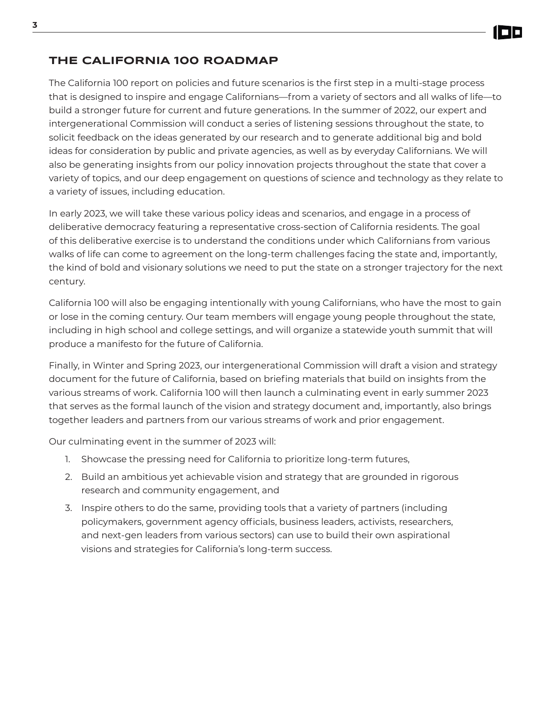# **THE CALIFORNIA 100 ROADMAP**

The California 100 report on policies and future scenarios is the first step in a multi-stage process that is designed to inspire and engage Californians—from a variety of sectors and all walks of life—to build a stronger future for current and future generations. In the summer of 2022, our expert and intergenerational Commission will conduct a series of listening sessions throughout the state, to solicit feedback on the ideas generated by our research and to generate additional big and bold ideas for consideration by public and private agencies, as well as by everyday Californians. We will also be generating insights from our policy innovation projects throughout the state that cover a variety of topics, and our deep engagement on questions of science and technology as they relate to a variety of issues, including education.

In early 2023, we will take these various policy ideas and scenarios, and engage in a process of deliberative democracy featuring a representative cross-section of California residents. The goal of this deliberative exercise is to understand the conditions under which Californians from various walks of life can come to agreement on the long-term challenges facing the state and, importantly, the kind of bold and visionary solutions we need to put the state on a stronger trajectory for the next century.

California 100 will also be engaging intentionally with young Californians, who have the most to gain or lose in the coming century. Our team members will engage young people throughout the state, including in high school and college settings, and will organize a statewide youth summit that will produce a manifesto for the future of California.

Finally, in Winter and Spring 2023, our intergenerational Commission will draft a vision and strategy document for the future of California, based on briefing materials that build on insights from the various streams of work. California 100 will then launch a culminating event in early summer 2023 that serves as the formal launch of the vision and strategy document and, importantly, also brings together leaders and partners from our various streams of work and prior engagement.

Our culminating event in the summer of 2023 will:

- 1. Showcase the pressing need for California to prioritize long-term futures,
- 2. Build an ambitious yet achievable vision and strategy that are grounded in rigorous research and community engagement, and
- 3. Inspire others to do the same, providing tools that a variety of partners (including policymakers, government agency officials, business leaders, activists, researchers, and next-gen leaders from various sectors) can use to build their own aspirational visions and strategies for California's long-term success.